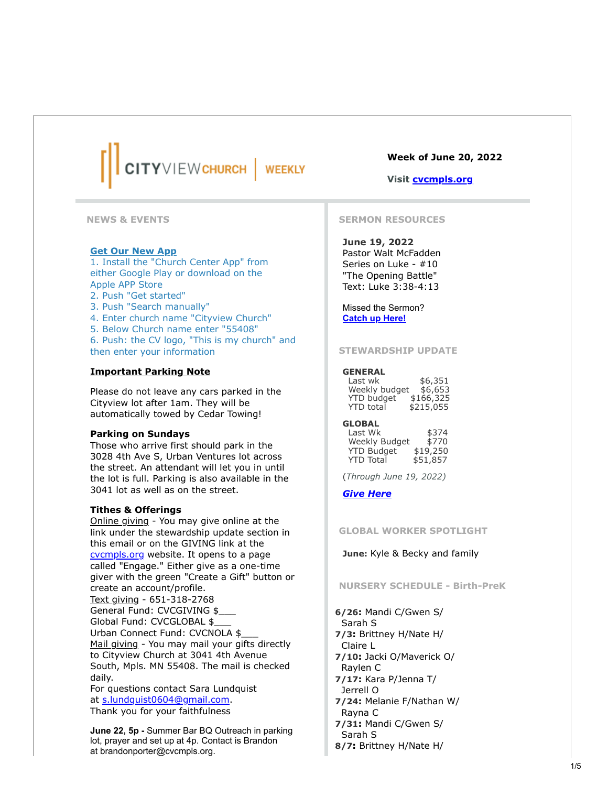# CITYVIEWCHURCH **WEEKLY**

**NEWS & EVENTS**

## **Get Our New App**

1. Install the "Church Center App" from either Google Play or download on the Apple APP Store

- 2. Push "Get started"
- 3. Push "Search manually"
- 4. Enter church name "Cityview Church"

5. Below Church name enter "55408"

6. Push: the CV logo, "This is my church" and then enter your information

## **Important Parking Note**

Please do not leave any cars parked in the Cityview lot after 1am. They will be automatically towed by Cedar Towing!

## **Parking on Sundays**

Those who arrive first should park in the 3028 4th Ave S, Urban Ventures lot across the street. An attendant will let you in until the lot is full. Parking is also available in the 3041 lot as well as on the street.

#### **Tithes & Offerings**

Online giving - You may give online at the link under the stewardship update section in this email or on the GIVING link at the [cvcmpls.org](https://click.icptrack.com/icp/relay.php?r=51662873&msgid=1775706&act=VHTY&c=904972&pid=1845974&destination=http%3A%2F%2Fcvcmpls.org&cf=17241&v=8b258eb6ff7c22e4c8e090c8202186f0c25b6a5dcd1dd0dd3522ed3bf076ceee) website. It opens to a page called "Engage." Either give as a one-time giver with the green "Create a Gift" button or create an account/profile. Text giving - 651-318-2768 General Fund: CVCGIVING \$ Global Fund: CVCGLOBAL \$\_\_\_ Urban Connect Fund: CVCNOLA \$\_\_\_ Mail giving - You may mail your gifts directly to Cityview Church at 3041 4th Avenue South, Mpls. MN 55408. The mail is checked daily. For questions contact Sara Lundquist at [s.lundquist0604@gmail.com](mailto:s.lundquist0604@gmail.com).

Thank you for your faithfulness

**June 22, 5p -** Summer Bar BQ Outreach in parking lot, prayer and set up at 4p. Contact is Brandon at brandonporter@cvcmpls.org.

# **Week of June 20, 2022**

## **Visit [cvcmpls.org](https://click.icptrack.com/icp/relay.php?r=51662873&msgid=1775706&act=VHTY&c=904972&pid=1845974&destination=http%3A%2F%2Fcvcmpls.org&cf=17241&v=8b258eb6ff7c22e4c8e090c8202186f0c25b6a5dcd1dd0dd3522ed3bf076ceee)**

#### **SERMON RESOURCES**

**June 19, 2022** Pastor Walt McFadden Series on Luke - #10 "The Opening Battle" Text: Luke 3:38-4:13

Missed the Sermon? **[Catch up Here!](https://click.icptrack.com/icp/relay.php?r=51662873&msgid=1775706&act=VHTY&c=904972&pid=1845974&destination=https%3A%2F%2Fwww.cvcmpls.org%2Fsunday-sermons-on-demand&cf=17241&v=86b97470067b11978993108e54cb8e93ea6dbcfa8c5d44b8acffd301d1a6a364)**

#### **STEWARDSHIP UPDATE**

#### **GENERAL**

| Last wk           | \$6,351   |
|-------------------|-----------|
| Weekly budget     | \$6,653   |
| <b>YTD</b> budget | \$166,325 |
| <b>YTD</b> total  | \$215,055 |

**GLOBAL**

Last Wk \$374 Weekly Budget \$770 YTD Budget \$19,250 YTD Total \$51,857

(*Through June 19, 2022)*

## *[Give Here](https://click.icptrack.com/icp/relay.php?r=51662873&msgid=1775706&act=VHTY&c=904972&pid=1845974&destination=https%3A%2F%2Fwww.cvcmpls.org%2Fgiving&cf=17241&v=d64ac80e534ef0dd6ac303f8388a77ae4649fd7f8f1315cd27b1a4ce6b20d69e)*

**GLOBAL WORKER SPOTLIGHT**

**June:** Kyle & Becky and family

## **NURSERY SCHEDULE - Birth-PreK**

**6/26:** Mandi C/Gwen S/ Sarah S **7/3:** Brittney H/Nate H/ Claire L **7/10:** Jacki O/Maverick O/ Raylen C **7/17:** Kara P/Jenna T/ Jerrell O **7/24:** Melanie F/Nathan W/ Rayna C **7/31:** Mandi C/Gwen S/ Sarah S **8/7:** Brittney H/Nate H/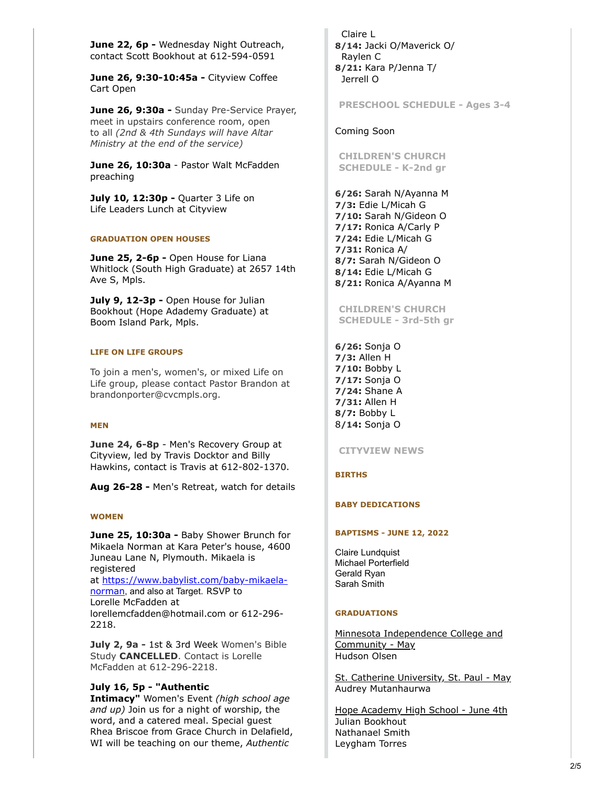**June 22, 6p -** Wednesday Night Outreach, contact Scott Bookhout at 612-594-0591

**June 26, 9:30-10:45a -** Cityview Coffee Cart Open

**June 26, 9:30a -** Sunday Pre-Service Prayer, meet in upstairs conference room, open to all *(2nd & 4th Sundays will have Altar Ministry at the end of the service)*

**June 26, 10:30a** - Pastor Walt McFadden preaching

**July 10, 12:30p - Quarter 3 Life on** Life Leaders Lunch at Cityview

## **GRADUATION OPEN HOUSES**

**June 25, 2-6p -** Open House for Liana Whitlock (South High Graduate) at 2657 14th Ave S, Mpls.

**July 9, 12-3p -** Open House for Julian Bookhout (Hope Adademy Graduate) at Boom Island Park, Mpls.

### **LIFE ON LIFE GROUPS**

To join a men's, women's, or mixed Life on Life group, please contact Pastor Brandon at brandonporter@cvcmpls.org.

## **MEN**

**June 24, 6-8p** - Men's Recovery Group at Cityview, led by Travis Docktor and Billy Hawkins, contact is Travis at 612-802-1370.

**Aug 26-28 -** Men's Retreat, watch for details

#### **WOMEN**

**June 25, 10:30a -** Baby Shower Brunch for Mikaela Norman at Kara Peter's house, 4600 Juneau Lane N, Plymouth. Mikaela is registered at [https://www.babylist.com/baby-mikaela](https://click.icptrack.com/icp/relay.php?r=51662873&msgid=1775706&act=VHTY&c=904972&pid=1845974&destination=https%3A%2F%2Fwww.babylist.com%2Fbaby-mikaela-norman&cf=17241&v=1ba62478d5debfdcd0f7e65bc33b097e21a814cc28e47c22811d8da127ca06b5)norman, and also at Target. RSVP to Lorelle McFadden at lorellemcfadden@hotmail.com or 612-296- 2218.

**July 2, 9a -** 1st & 3rd Week Women's Bible Study **CANCELLED**. Contact is Lorelle McFadden at 612-296-2218.

# **July 16, 5p - "Authentic**

**Intimacy"** Women's Event *(high school age and up)* Join us for a night of worship, the word, and a catered meal. Special guest Rhea Briscoe from Grace Church in Delafield, WI will be teaching on our theme, *Authentic*

Claire L **8/14:** Jacki O/Maverick O/ Raylen C **8/21:** Kara P/Jenna T/ Jerrell O

**PRESCHOOL SCHEDULE - Ages 3-4**

## Coming Soon

**CHILDREN'S CHURCH SCHEDULE - K-2nd gr**

**6/26:** Sarah N/Ayanna M **7/3:** Edie L/Micah G **7/10:** Sarah N/Gideon O **7/17:** Ronica A/Carly P **7/24:** Edie L/Micah G **7/31:** Ronica A/ **8/7:** Sarah N/Gideon O **8/14:** Edie L/Micah G **8/21:** Ronica A/Ayanna M

**CHILDREN'S CHURCH SCHEDULE - 3rd-5th gr**

**6/26:** Sonja O **7/3:** Allen H **7/10:** Bobby L **7/17:** Sonja O **7/24:** Shane A **7/31:** Allen H **8/7:** Bobby L 8**/14:** Sonja O

**CITYVIEW NEWS**

## **BIRTHS**

## **BABY DEDICATIONS**

#### **BAPTISMS - JUNE 12, 2022**

Claire Lundquist Michael Porterfield Gerald Ryan Sarah Smith

#### **GRADUATIONS**

Minnesota Independence College and Community - May Hudson Olsen

St. Catherine University, St. Paul - May Audrey Mutanhaurwa

Hope Academy High School - June 4th Julian Bookhout Nathanael Smith Leygham Torres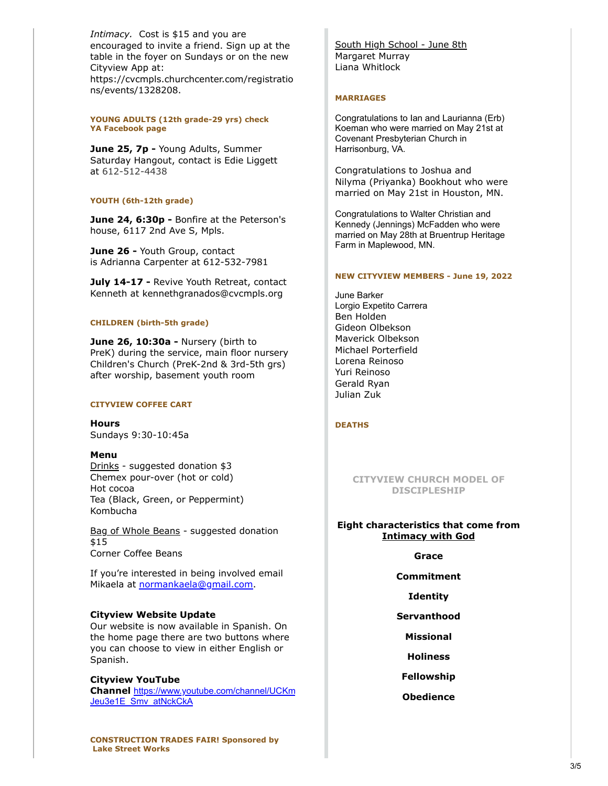*Intimacy.* Cost is \$15 and you are encouraged to invite a friend. Sign up at the table in the foyer on Sundays or on the new Cityview App at: https://cvcmpls.churchcenter.com/registratio ns/events/1328208.

**YOUNG ADULTS (12th grade-29 yrs) check YA Facebook page**

**June 25, 7p - Young Adults, Summer** Saturday Hangout, contact is Edie Liggett at 612-512-4438

## **YOUTH (6th-12th grade)**

**June 24, 6:30p -** Bonfire at the Peterson's house, 6117 2nd Ave S, Mpls.

**June 26 -** Youth Group, contact is Adrianna Carpenter at 612-532-7981

**July 14-17 -** Revive Youth Retreat, contact Kenneth at kennethgranados@cvcmpls.org

## **CHILDREN (birth-5th grade)**

**June 26, 10:30a -** Nursery (birth to PreK) during the service, main floor nursery Children's Church (PreK-2nd & 3rd-5th grs) after worship, basement youth room

#### **CITYVIEW COFFEE CART**

**Hours** Sundays 9:30-10:45a

#### **Menu**

Drinks - suggested donation \$3 Chemex pour-over (hot or cold) Hot cocoa Tea (Black, Green, or Peppermint) Kombucha

Bag of Whole Beans - suggested donation \$15 Corner Coffee Beans

If you're interested in being involved email Mikaela at [normankaela@gmail.com.](mailto:normankaela@gmail.com)

#### **Cityview Website Update**

Our website is now available in Spanish. On the home page there are two buttons where you can choose to view in either English or Spanish.

## **Cityview YouTube**

**Channel** [https://www.youtube.com/channel/UCKm](https://click.icptrack.com/icp/relay.php?r=51662873&msgid=1775706&act=VHTY&c=904972&pid=1845974&destination=https%3A%2F%2Fwww.youtube.com%2Fchannel%2FUCKmJeu3e1E_Smv_atNckCkA&cf=17241&v=39b6e7b1f7769281f77071046adf102436d1c7765865c860ee64d01f4ec72db6) Jeu3e1E\_Smv\_atNckCkA

South High School - June 8th Margaret Murray Liana Whitlock

## **MARRIAGES**

Congratulations to Ian and Laurianna (Erb) Koeman who were married on May 21st at Covenant Presbyterian Church in Harrisonburg, VA.

Congratulations to Joshua and Nilyma (Priyanka) Bookhout who were married on May 21st in Houston, MN.

Congratulations to Walter Christian and Kennedy (Jennings) McFadden who were married on May 28th at Bruentrup Heritage Farm in Maplewood, MN.

#### **NEW CITYVIEW MEMBERS - June 19, 2022**

June Barker Lorgio Expetito Carrera Ben Holden Gideon Olbekson Maverick Olbekson Michael Porterfield Lorena Reinoso Yuri Reinoso Gerald Ryan Julian Zuk

#### **DEATHS**

# **CITYVIEW CHURCH MODEL OF DISCIPLESHIP**

# **Eight characteristics that come from Intimacy with God**

## **Grace**

## **Commitment**

**Identity**

- **Servanthood**
	- **Missional**
	- **Holiness**
- **Fellowship**
- **Obedience**

**CONSTRUCTION TRADES FAIR! Sponsored by Lake Street Works**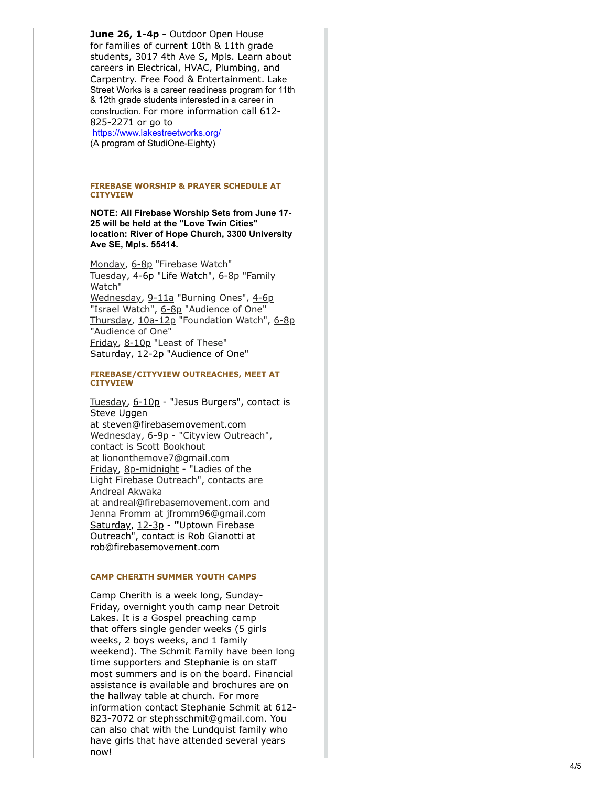**June 26, 1-4p - Outdoor Open House** for families of current 10th & 11th grade students, 3017 4th Ave S, Mpls. Learn about careers in Electrical, HVAC, Plumbing, and Carpentry. Free Food & Entertainment. Lake Street Works is a career readiness program for 11th & 12th grade students interested in a career in construction. For more information call 612- 825-2271 or go to [https://www.lakestreetworks.org/](https://click.icptrack.com/icp/relay.php?r=51662873&msgid=1775706&act=VHTY&c=904972&pid=1845974&destination=https%3A%2F%2Fwww.lakestreetworks.org%2F&cf=17241&v=7d0af5b389f20082d7e8b736a9f89224f40ba695eb5cc316afcf23a227ca0470)

(A program of StudiOne-Eighty)

#### **FIREBASE WORSHIP & PRAYER SCHEDULE AT CITYVIEW**

**NOTE: All Firebase Worship Sets from June 17- 25 will be held at the "Love Twin Cities" location: River of Hope Church, 3300 University Ave SE, Mpls. 55414.**

Monday, 6-8p "Firebase Watch" Tuesday, 4-6p "Life Watch", 6-8p "Family Watch" Wednesday, 9-11a "Burning Ones", 4-6p "Israel Watch", 6-8p "Audience of One" Thursday, 10a-12p "Foundation Watch", 6-8p "Audience of One" Friday, 8-10p "Least of These" Saturday, 12-2p "Audience of One"

#### **FIREBASE/CITYVIEW OUTREACHES, MEET AT CITYVIEW**

Tuesday, 6-10p - "Jesus Burgers", contact is Steve Uggen at steven@firebasemovement.com Wednesday, 6-9p - "Cityview Outreach", contact is Scott Bookhout at liononthemove7@gmail.com Friday, 8p-midnight - "Ladies of the Light Firebase Outreach", contacts are Andreal Akwaka at andreal@firebasemovement.com and Jenna Fromm at jfromm96@gmail.com Saturday, 12-3p - **"**Uptown Firebase Outreach", contact is Rob Gianotti at rob@firebasemovement.com

#### **CAMP CHERITH SUMMER YOUTH CAMPS**

Camp Cherith is a week long, Sunday-Friday, overnight youth camp near Detroit Lakes. It is a Gospel preaching camp that offers single gender weeks (5 girls weeks, 2 boys weeks, and 1 family weekend). The Schmit Family have been long time supporters and Stephanie is on staff most summers and is on the board. Financial assistance is available and brochures are on the hallway table at church. For more information contact Stephanie Schmit at 612- 823-7072 or stephsschmit@gmail.com. You can also chat with the Lundquist family who have girls that have attended several years now!